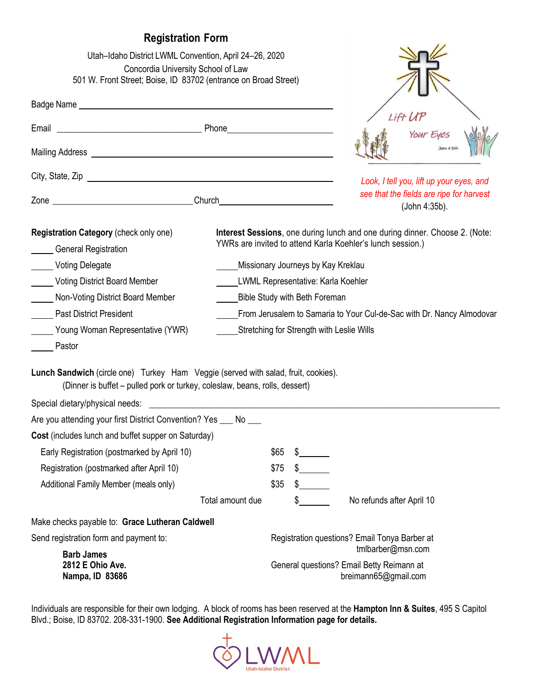# **Registration Form**

| Utah-Idaho District LWML Convention, April 24-26, 2020<br>Concordia University School of Law<br>501 W. Front Street; Boise, ID 83702 (entrance on Broad Street)   |                                                                                                                                           |                                               |                                           |                                                                                        |  |
|-------------------------------------------------------------------------------------------------------------------------------------------------------------------|-------------------------------------------------------------------------------------------------------------------------------------------|-----------------------------------------------|-------------------------------------------|----------------------------------------------------------------------------------------|--|
|                                                                                                                                                                   |                                                                                                                                           |                                               |                                           |                                                                                        |  |
| Email                                                                                                                                                             |                                                                                                                                           |                                               |                                           | Lift U<br>Your Eyes                                                                    |  |
|                                                                                                                                                                   |                                                                                                                                           |                                               |                                           |                                                                                        |  |
|                                                                                                                                                                   |                                                                                                                                           |                                               |                                           | Look, I tell you, lift up your eyes, and                                               |  |
|                                                                                                                                                                   |                                                                                                                                           |                                               |                                           | see that the fields are ripe for harvest<br>(John 4:35b).                              |  |
| Registration Category (check only one)<br><b>General Registration</b>                                                                                             | Interest Sessions, one during lunch and one during dinner. Choose 2. (Note:<br>YWRs are invited to attend Karla Koehler's lunch session.) |                                               |                                           |                                                                                        |  |
| Voting Delegate                                                                                                                                                   |                                                                                                                                           | Missionary Journeys by Kay Kreklau            |                                           |                                                                                        |  |
| Voting District Board Member                                                                                                                                      |                                                                                                                                           | <b>LWML Representative: Karla Koehler</b>     |                                           |                                                                                        |  |
| Non-Voting District Board Member                                                                                                                                  |                                                                                                                                           | Bible Study with Beth Foreman                 |                                           |                                                                                        |  |
| <b>Past District President</b>                                                                                                                                    | From Jerusalem to Samaria to Your Cul-de-Sac with Dr. Nancy Almodovar                                                                     |                                               |                                           |                                                                                        |  |
| Young Woman Representative (YWR)<br>Pastor                                                                                                                        |                                                                                                                                           |                                               | Stretching for Strength with Leslie Wills |                                                                                        |  |
| Lunch Sandwich (circle one) Turkey Ham Veggie (served with salad, fruit, cookies).<br>(Dinner is buffet – pulled pork or turkey, coleslaw, beans, rolls, dessert) |                                                                                                                                           |                                               |                                           |                                                                                        |  |
| Special dietary/physical needs:                                                                                                                                   |                                                                                                                                           |                                               |                                           |                                                                                        |  |
| Are you attending your first District Convention? Yes ___ No ___                                                                                                  |                                                                                                                                           |                                               |                                           |                                                                                        |  |
| Cost (includes lunch and buffet supper on Saturday)                                                                                                               |                                                                                                                                           |                                               |                                           |                                                                                        |  |
| Early Registration (postmarked by April 10)                                                                                                                       |                                                                                                                                           | \$65                                          |                                           |                                                                                        |  |
| Registration (postmarked after April 10)                                                                                                                          |                                                                                                                                           | \$75                                          |                                           |                                                                                        |  |
| Additional Family Member (meals only)                                                                                                                             |                                                                                                                                           | \$35                                          |                                           |                                                                                        |  |
|                                                                                                                                                                   | Total amount due                                                                                                                          |                                               | \$                                        | No refunds after April 10                                                              |  |
| Make checks payable to: Grace Lutheran Caldwell                                                                                                                   |                                                                                                                                           |                                               |                                           |                                                                                        |  |
| Send registration form and payment to:                                                                                                                            |                                                                                                                                           | Registration questions? Email Tonya Barber at |                                           |                                                                                        |  |
| <b>Barb James</b><br>2812 E Ohio Ave.<br>Nampa, ID 83686                                                                                                          |                                                                                                                                           |                                               |                                           | tmlbarber@msn.com<br>General questions? Email Betty Reimann at<br>breimann65@gmail.com |  |

Individuals are responsible for their own lodging. A block of rooms has been reserved at the **Hampton Inn & Suites**, 495 S Capitol Blvd.; Boise, ID 83702. 208-331-1900. **See Additional Registration Information page for details.**

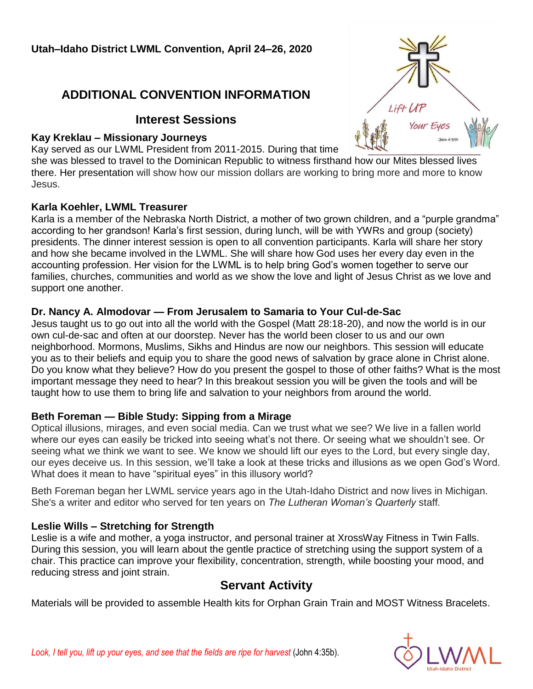# **ADDITIONAL CONVENTION INFORMATION**

### **Interest Sessions**

#### **Kay Kreklau – Missionary Journeys**

Kay served as our LWML President from 2011-2015. During that time

she was blessed to travel to the Dominican Republic to witness firsthand how our Mites blessed lives there. Her presentation will show how our mission dollars are working to bring more and more to know Jesus.

#### **Karla Koehler, LWML Treasurer**

Karla is a member of the Nebraska North District, a mother of two grown children, and a "purple grandma" according to her grandson! Karla's first session, during lunch, will be with YWRs and group (society) presidents. The dinner interest session is open to all convention participants. Karla will share her story and how she became involved in the LWML. She will share how God uses her every day even in the accounting profession. Her vision for the LWML is to help bring God's women together to serve our families, churches, communities and world as we show the love and light of Jesus Christ as we love and support one another.

#### **Dr. Nancy A. Almodovar — From Jerusalem to Samaria to Your Cul-de-Sac**

Jesus taught us to go out into all the world with the Gospel (Matt 28:18-20), and now the world is in our own cul-de-sac and often at our doorstep. Never has the world been closer to us and our own neighborhood. Mormons, Muslims, Sikhs and Hindus are now our neighbors. This session will educate you as to their beliefs and equip you to share the good news of salvation by grace alone in Christ alone. Do you know what they believe? How do you present the gospel to those of other faiths? What is the most important message they need to hear? In this breakout session you will be given the tools and will be taught how to use them to bring life and salvation to your neighbors from around the world.

### **Beth Foreman — Bible Study: Sipping from a Mirage**

Optical illusions, mirages, and even social media. Can we trust what we see? We live in a fallen world where our eyes can easily be tricked into seeing what's not there. Or seeing what we shouldn't see. Or seeing what we think we want to see. We know we should lift our eyes to the Lord, but every single day, our eyes deceive us. In this session, we'll take a look at these tricks and illusions as we open God's Word. What does it mean to have "spiritual eyes" in this illusory world?

Beth Foreman began her LWML service years ago in the Utah-Idaho District and now lives in Michigan. She's a writer and editor who served for ten years on *The Lutheran Woman's Quarterly* staff*.*

### **Leslie Wills – Stretching for Strength**

Leslie is a wife and mother, a yoga instructor, and personal trainer at XrossWay Fitness in Twin Falls. During this session, you will learn about the gentle practice of stretching using the support system of a chair. This practice can improve your flexibility, concentration, strength, while boosting your mood, and reducing stress and joint strain.

# **Servant Activity**

Materials will be provided to assemble Health kits for Orphan Grain Train and MOST Witness Bracelets.